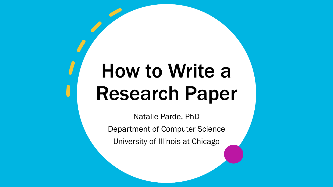# How to Write a Research Paper

Natalie Parde, PhD Department of Computer Science University of Illinois at Chicago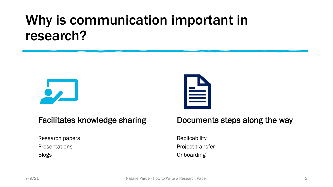#### Why is communication important in research?





#### Facilitates knowledge sharing

Research papers Presentations Blogs

#### Documents steps along the way

**Replicability** Project transfer **Onboarding**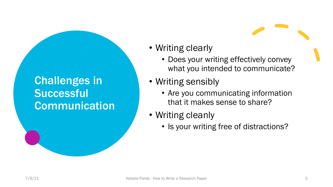#### Challenges in **Successful** Communication

- Writing clearly
	- Does your writing effectively convey what you intended to communicate?
- Writing sensibly
	- Are you communicating information that it makes sense to share?
- Writing cleanly
	- Is your writing free of distractions?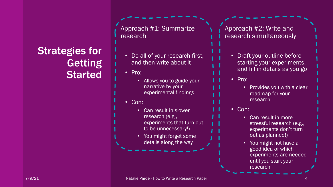#### Strategies for Getting **Started**

Approach #1: Summarize research

- Do all of your research first, and then write about it
- Pro:
	- Allows you to guide your narrative by your experimental findings
- Con:
	- Can result in slower research (e.g., experiments that turn out to be unnecessary!)
	- You might forget some details along the way

Approach #2: Write and research simultaneously

- Draft your outline before starting your experiments, and fill in details as you go
- Pro:
	- Provides you with a clear roadmap for your research
- Con:
	- Can result in more stressful research (e.g., experiments don't turn out as planned!)
	- You might not have a good idea of which experiments are needed until you start your research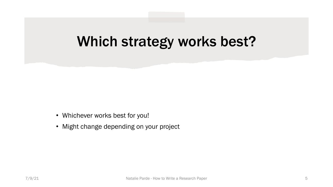#### Which strategy works best?

- Whichever works best for you!
- Might change depending on your project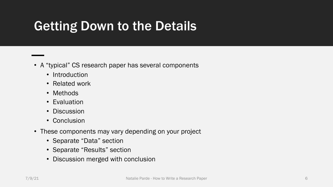#### Getting Down to the Details

- A "typical" CS research paper has several components
	- Introduction
	- Related work
	- Methods
	- Evaluation
	- Discussion
	- Conclusion
- These components may vary depending on your project
	- Separate "Data" section
	- Separate "Results" section
	- Discussion merged with conclusion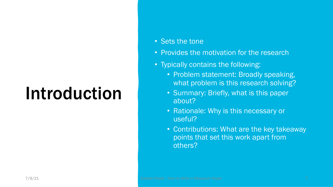# Introduction

- Sets the tone
- Provides the motivation for the research
- Typically contains the following:
	- Problem statement: Broadly speaking, what problem is this research solving?
	- Summary: Briefly, what is this paper about?
	- Rationale: Why is this necessary or useful?
	- Contributions: What are the key takeaway points that set this work apart from others?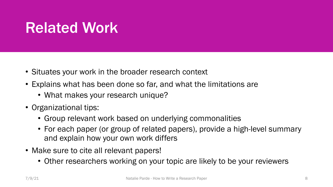### Related Work

- Situates your work in the broader research context
- Explains what has been done so far, and what the limitations are
	- What makes your research unique?
- Organizational tips:
	- Group relevant work based on underlying commonalities
	- For each paper (or group of related papers), provide a high-level summary and explain how your own work differs
- Make sure to cite all relevant papers!
	- Other researchers working on your topic are likely to be your reviewers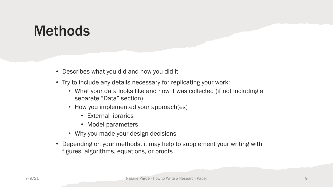#### Methods

- Describes what you did and how you did it
- Try to include any details necessary for replicating your work:
	- What your data looks like and how it was collected (if not including a separate "Data" section)
	- How you implemented your approach(es)
		- External libraries
		- Model parameters
	- Why you made your design decisions
- Depending on your methods, it may help to supplement your writing with figures, algorithms, equations, or proofs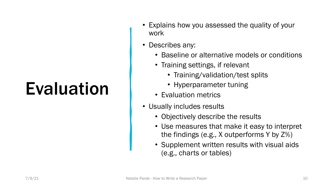# Evaluation

- Explains how you assessed the quality of your work
- Describes any:
	- Baseline or alternative models or conditions
	- Training settings, if relevant
		- Training/validation/test splits
		- Hyperparameter tuning
	- Evaluation metrics
- Usually includes results
	- Objectively describe the results
	- Use measures that make it easy to interpret the findings (e.g., X outperforms Y by Z%)
	- Supplement written results with visual aids (e.g., charts or tables)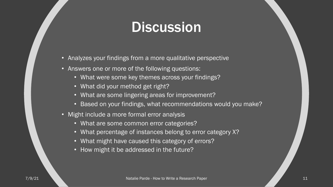#### **Discussion**

- Analyzes your findings from a more qualitative perspective
- Answers one or more of the following questions:
	- What were some key themes across your findings?
	- What did your method get right?
	- What are some lingering areas for improvement?
	- Based on your findings, what recommendations would you make?
- Might include a more formal error analysis
	- What are some common error categories?
	- What percentage of instances belong to error category X?
	- What might have caused this category of errors?
	- How might it be addressed in the future?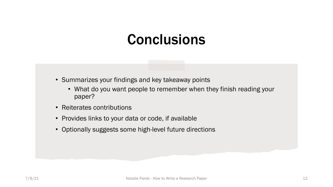#### **Conclusions**

- Summarizes your findings and key takeaway points
	- What do you want people to remember when they finish reading your paper?
- Reiterates contributions
- Provides links to your data or code, if available
- Optionally suggests some high-level future directions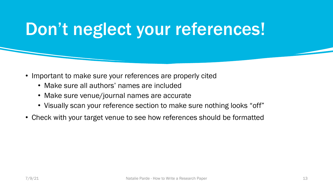### Don't neglect your references!

- Important to make sure your references are properly cited
	- Make sure all authors' names are included
	- Make sure venue/journal names are accurate
	- Visually scan your reference section to make sure nothing looks "off"
- Check with your target venue to see how references should be formatted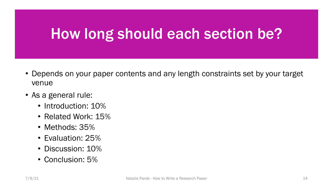### How long should each section be?

- Depends on your paper contents and any length constraints set by your target venue
- As a general rule:
	- Introduction: 10%
	- Related Work: 15%
	- Methods: 35%
	- Evaluation: 25%
	- Discussion: 10%
	- Conclusion: 5%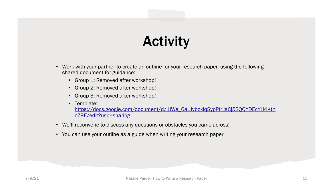### **Activity**

- Work with your partner to create an outline for your research paper, shared document for guidance:
	- Group 1: Removed after workshop!
	- Group 2: Removed after workshop!
	- Group 3: Removed after workshop!
	- Template: https://docs.google.com/document/d/1IWe\_6aLJvboxIqSy oZ9E/edit?usp=sharing
- We'll reconvene to discuss any questions or obstacles you came
- You can use your outline as a guide when writing your research paper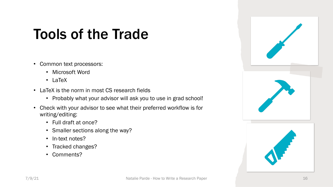### Tools of the Trade

- Common text processors:
	- Microsoft Word
	- LaTeX
- LaTeX is the norm in most CS research fields
	- Probably what your advisor will ask you to use in grad school!
- Check with your advisor to see what their preferred workflow is for writing/editing:
	- Full draft at once?
	- Smaller sections along the way?
	- In-text notes?
	- Tracked changes?
	- Comments?

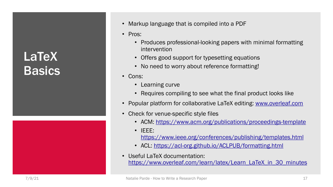#### **LaTeX Basics**



- Markup language that is compile
- Pros:
	- Produces professional-look [intervention](https://www.ieee.org/conferences/publishing/templates.html)
	- Offers good support for type
	- No need to worry about refer
- [Cons:](https://www.overleaf.com/learn/latex/Learn_LaTeX_in_30_minutes)
	- Learning curve
	- Requires compiling to see v
- Popular platform for collaborative
- Check for venue-specific style fil
	- ACM: https://www.acm.org
	- IEEE: https://www.ieee.org/confe
	- ACL: https://acl-org.github.
- Useful LaTeX documentation: https://www.overleaf.com/learn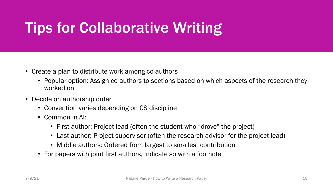### Tips for Collaborative Writing

- Create a plan to distribute work among co-authors
	- Popular option: Assign co-authors to sections based on which aspects of the research they worked on
- Decide on authorship order
	- Convention varies depending on CS discipline
	- Common in AI:
		- First author: Project lead (often the student who "drove" the project)
		- Last author: Project supervisor (often the research advisor for the project lead)
		- Middle authors: Ordered from largest to smallest contribution
	- For papers with joint first authors, indicate so with a footnote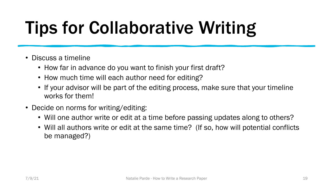## Tips for Collaborative Writing

- Discuss a timeline
	- How far in advance do you want to finish your first draft?
	- How much time will each author need for editing?
	- If your advisor will be part of the editing process, make sure that your timeline works for them!
- Decide on norms for writing/editing:
	- Will one author write or edit at a time before passing updates along to others?
	- Will all authors write or edit at the same time? (If so, how will potential conflicts be managed?)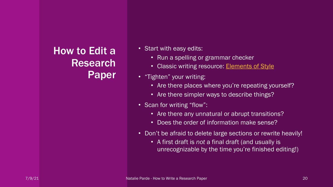#### How to Edit a Research Paper

- Start with easy edits:
	- Run a spelling or gra
	- Classic writing resou
- "Tighten" your writing:
	- Are there places wh
	- Are there simpler way
- Scan for writing "flow":
	- $\bullet$  Are there any unnat
	- Does the order of in
- Don't be afraid to delete
	- A first draft is *not* a unrecognizable by the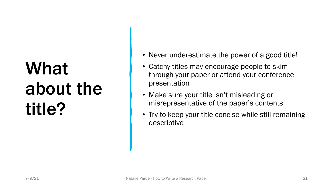# What about the title?

- Never underestimate the power of a good title!
- Catchy titles may encourage people to skim through your paper or attend your conference presentation
- Make sure your title isn't misleading or misrepresentative of the paper's contents
- Try to keep your title concise while still remaining descriptive